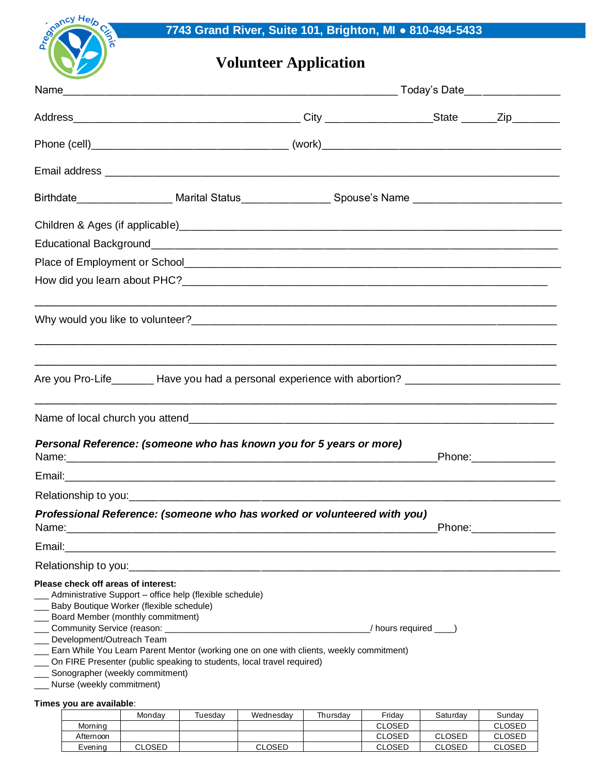

## **Volunteer Application**

|                                                                                                                                                                                                                                       | Today's Date___ ____________                                                                                     |  |                       |  |
|---------------------------------------------------------------------------------------------------------------------------------------------------------------------------------------------------------------------------------------|------------------------------------------------------------------------------------------------------------------|--|-----------------------|--|
|                                                                                                                                                                                                                                       |                                                                                                                  |  |                       |  |
|                                                                                                                                                                                                                                       |                                                                                                                  |  |                       |  |
|                                                                                                                                                                                                                                       |                                                                                                                  |  |                       |  |
| Birthdate_______________________Marital Status___________________Spouse's Name __________________________                                                                                                                             |                                                                                                                  |  |                       |  |
|                                                                                                                                                                                                                                       |                                                                                                                  |  |                       |  |
|                                                                                                                                                                                                                                       |                                                                                                                  |  |                       |  |
|                                                                                                                                                                                                                                       |                                                                                                                  |  |                       |  |
| <u> 1999 - Johann Stoff, amerikan berkema dalam berkema dalam berkema dalam berkema dalam berkema dalam berkema d</u>                                                                                                                 |                                                                                                                  |  |                       |  |
| Are you Pro-Life________ Have you had a personal experience with abortion? _________________________                                                                                                                                  | <u> 1990 - Jan James James James James James James James James James James James James James James James Jam</u> |  |                       |  |
|                                                                                                                                                                                                                                       |                                                                                                                  |  |                       |  |
| Personal Reference: (someone who has known you for 5 years or more)                                                                                                                                                                   |                                                                                                                  |  | Phone:______________  |  |
|                                                                                                                                                                                                                                       |                                                                                                                  |  |                       |  |
|                                                                                                                                                                                                                                       |                                                                                                                  |  |                       |  |
| Professional Reference: (someone who has worked or volunteered with you)                                                                                                                                                              |                                                                                                                  |  | Phone:_______________ |  |
|                                                                                                                                                                                                                                       |                                                                                                                  |  |                       |  |
|                                                                                                                                                                                                                                       |                                                                                                                  |  |                       |  |
| Please check off areas of interest:<br>Administrative Support - office help (flexible schedule)<br>___ Baby Boutique Worker (flexible schedule)<br>___ Board Member (monthly commitment)                                              |                                                                                                                  |  |                       |  |
| ___ Development/Outreach Team<br>Earn While You Learn Parent Mentor (working one on one with clients, weekly commitment)<br>On FIRE Presenter (public speaking to students, local travel required)<br>Sonographer (weekly commitment) |                                                                                                                  |  |                       |  |
| Nurse (weekly commitment)<br>Times you are available:                                                                                                                                                                                 |                                                                                                                  |  |                       |  |

|           | Mondav        | Tuesdav | Wednesdav | Thursdav | Fridav        | Saturdav      | Sundav        |
|-----------|---------------|---------|-----------|----------|---------------|---------------|---------------|
| Morning   |               |         |           |          | <b>CLOSED</b> |               | <b>CLOSED</b> |
| Afternoon |               |         |           |          | <b>CLOSED</b> | <b>CLOSED</b> | CLOSED        |
| Evening   | <b>CLOSED</b> |         | CLOSED    |          | <b>CLOSED</b> | CLOSED        | CLOSED        |